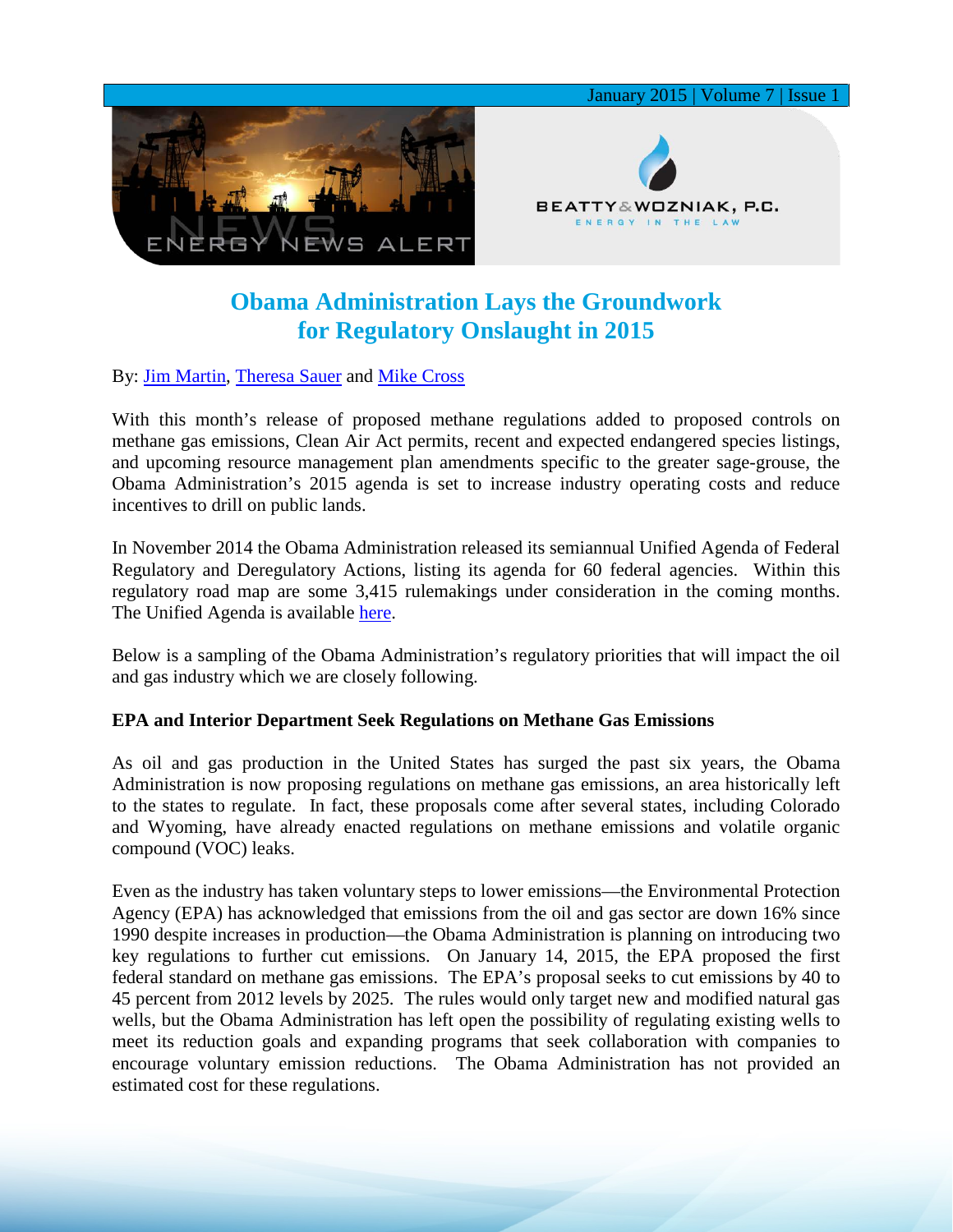

# **Obama Administration Lays the Groundwork for Regulatory Onslaught in 2015**

By: [Jim Martin,](http://www.bwenergylaw.com/#!jim-martin/cqkh) [Theresa Sauer](http://www.bwenergylaw.com/#!theresa-sauer/cgz0) and [Mike Cross](http://www.bwenergylaw.com/#!mike-cross/cy73)

With this month's release of proposed methane regulations added to proposed controls on methane gas emissions, Clean Air Act permits, recent and expected endangered species listings, and upcoming resource management plan amendments specific to the greater sage-grouse, the Obama Administration's 2015 agenda is set to increase industry operating costs and reduce incentives to drill on public lands.

In November 2014 the Obama Administration released its semiannual Unified Agenda of Federal Regulatory and Deregulatory Actions, listing its agenda for 60 federal agencies. Within this regulatory road map are some 3,415 rulemakings under consideration in the coming months. The Unified Agenda is available [here.](http://www.reginfo.gov/public/do/eAgendaMain)

Below is a sampling of the Obama Administration's regulatory priorities that will impact the oil and gas industry which we are closely following.

## **EPA and Interior Department Seek Regulations on Methane Gas Emissions**

As oil and gas production in the United States has surged the past six years, the Obama Administration is now proposing regulations on methane gas emissions, an area historically left to the states to regulate. In fact, these proposals come after several states, including Colorado and Wyoming, have already enacted regulations on methane emissions and volatile organic compound (VOC) leaks.

Even as the industry has taken voluntary steps to lower emissions—the Environmental Protection Agency (EPA) has acknowledged that emissions from the oil and gas sector are down 16% since 1990 despite increases in production—the Obama Administration is planning on introducing two key regulations to further cut emissions. On January 14, 2015, the EPA proposed the first federal standard on methane gas emissions. The EPA's proposal seeks to cut emissions by 40 to 45 percent from 2012 levels by 2025. The rules would only target new and modified natural gas wells, but the Obama Administration has left open the possibility of regulating existing wells to meet its reduction goals and expanding programs that seek collaboration with companies to encourage voluntary emission reductions. The Obama Administration has not provided an estimated cost for these regulations.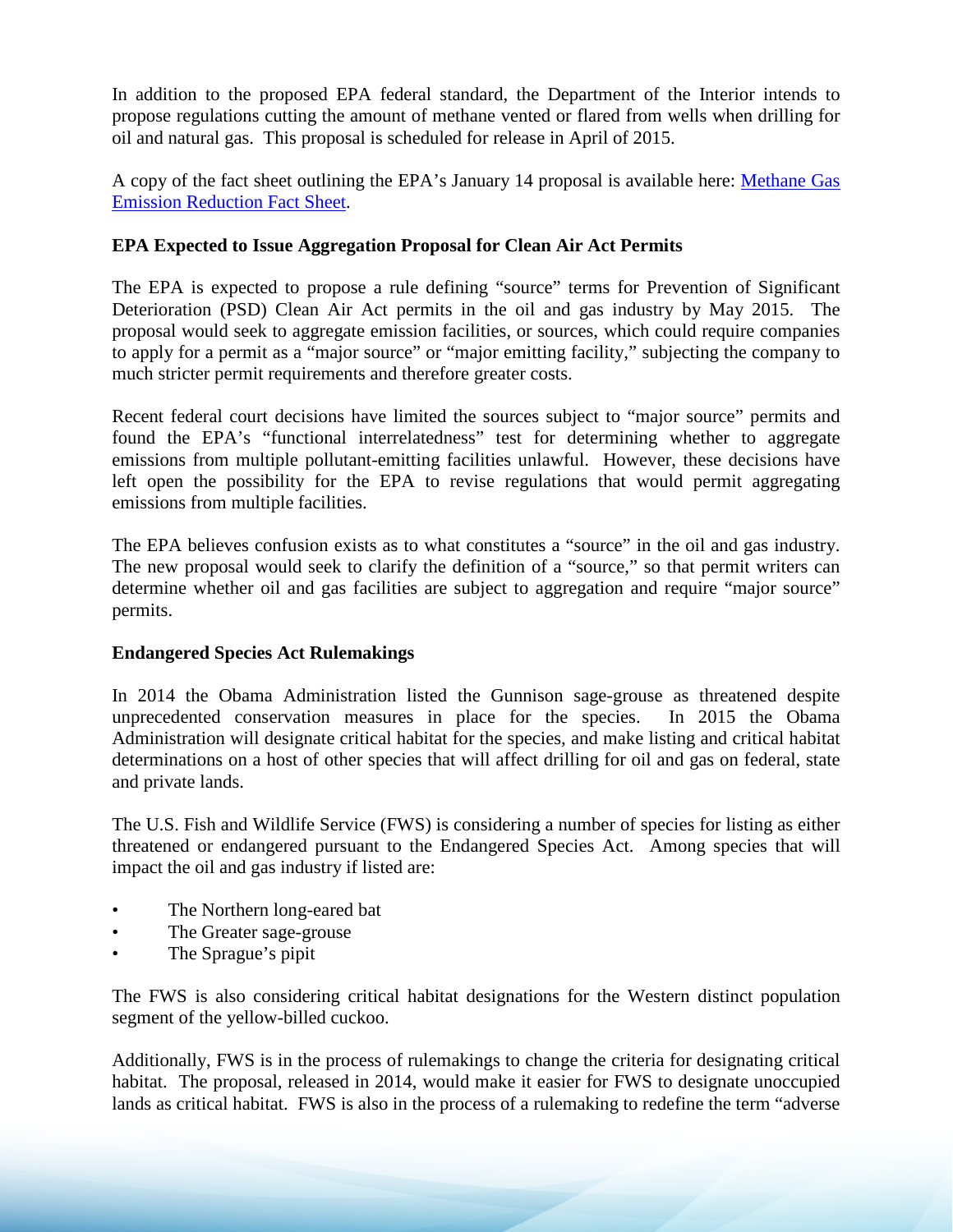In addition to the proposed EPA federal standard, the Department of the Interior intends to propose regulations cutting the amount of methane vented or flared from wells when drilling for oil and natural gas. This proposal is scheduled for release in April of 2015.

A copy of the fact sheet outlining the EPA's January 14 proposal is available here: [Methane Gas](http://www.whitehouse.gov/the-press-office/2015/01/14/fact-sheet-administration-takes-steps-forward-climate-action-plan-anno-1)  [Emission Reduction Fact Sheet.](http://www.whitehouse.gov/the-press-office/2015/01/14/fact-sheet-administration-takes-steps-forward-climate-action-plan-anno-1)

## **EPA Expected to Issue Aggregation Proposal for Clean Air Act Permits**

The EPA is expected to propose a rule defining "source" terms for Prevention of Significant Deterioration (PSD) Clean Air Act permits in the oil and gas industry by May 2015. The proposal would seek to aggregate emission facilities, or sources, which could require companies to apply for a permit as a "major source" or "major emitting facility," subjecting the company to much stricter permit requirements and therefore greater costs.

Recent federal court decisions have limited the sources subject to "major source" permits and found the EPA's "functional interrelatedness" test for determining whether to aggregate emissions from multiple pollutant-emitting facilities unlawful. However, these decisions have left open the possibility for the EPA to revise regulations that would permit aggregating emissions from multiple facilities.

The EPA believes confusion exists as to what constitutes a "source" in the oil and gas industry. The new proposal would seek to clarify the definition of a "source," so that permit writers can determine whether oil and gas facilities are subject to aggregation and require "major source" permits.

## **Endangered Species Act Rulemakings**

In 2014 the Obama Administration listed the Gunnison sage-grouse as threatened despite unprecedented conservation measures in place for the species. In 2015 the Obama Administration will designate critical habitat for the species, and make listing and critical habitat determinations on a host of other species that will affect drilling for oil and gas on federal, state and private lands.

The U.S. Fish and Wildlife Service (FWS) is considering a number of species for listing as either threatened or endangered pursuant to the Endangered Species Act. Among species that will impact the oil and gas industry if listed are:

- The Northern long-eared bat
- The Greater sage-grouse
- The Sprague's pipit

The FWS is also considering critical habitat designations for the Western distinct population segment of the yellow-billed cuckoo.

Additionally, FWS is in the process of rulemakings to change the criteria for designating critical habitat. The proposal, released in 2014, would make it easier for FWS to designate unoccupied lands as critical habitat. FWS is also in the process of a rulemaking to redefine the term "adverse